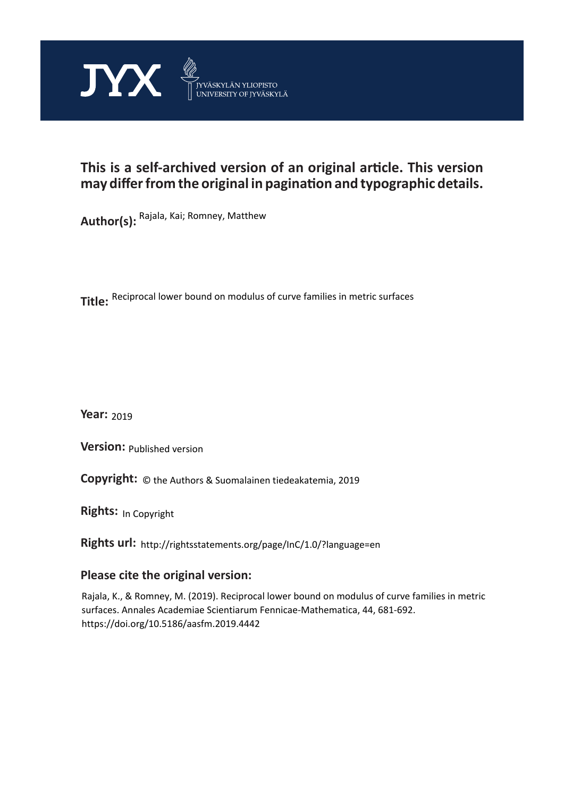

# **This is a self-archived version of an original article. This version may differ from the original in pagination and typographic details.**

**Author(s):**  Rajala, Kai; Romney, Matthew

**Title:**  Reciprocal lower bound on modulus of curve families in metric surfaces

**Year:**  2019

**Version:**

**Version:** Published version<br>**Copyright:** © the Authors & Suomalainen tiedeakatemia, 2019

**Rights:** In Copyright

**Rights url:**  http://rightsstatements.org/page/InC/1.0/?language=en

## **Please cite the original version:**

Rajala, K., & Romney, M. (2019). Reciprocal lower bound on modulus of curve families in metric surfaces. Annales Academiae Scientiarum Fennicae-Mathematica, 44, 681-692. https://doi.org/10.5186/aasfm.2019.4442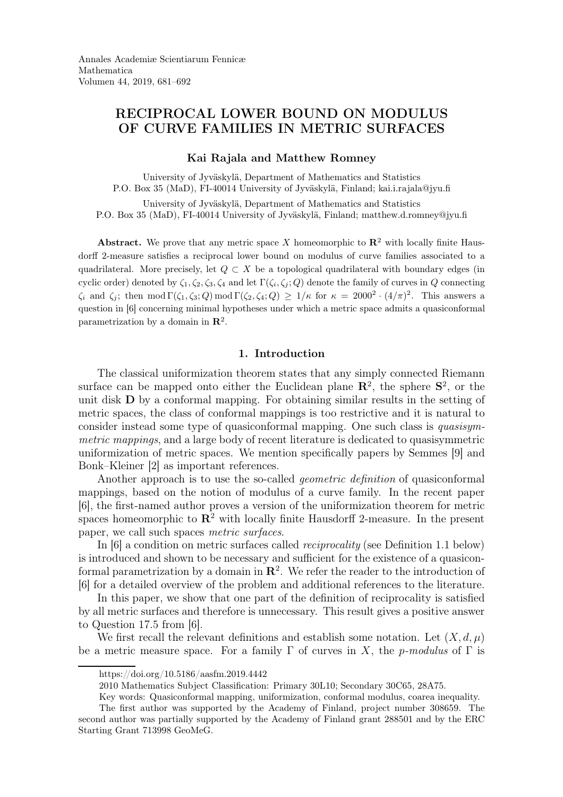## RECIPROCAL LOWER BOUND ON MODULUS OF CURVE FAMILIES IN METRIC SURFACES

### Kai Rajala and Matthew Romney

University of Jyväskylä, Department of Mathematics and Statistics P.O. Box 35 (MaD), FI-40014 University of Jyväskylä, Finland; kai.i.rajala@jyu.fi

University of Jyväskylä, Department of Mathematics and Statistics P.O. Box 35 (MaD), FI-40014 University of Jyväskylä, Finland; matthew.d.romney@jyu.fi

Abstract. We prove that any metric space X homeomorphic to  $\mathbb{R}^2$  with locally finite Hausdorff 2-measure satisfies a reciprocal lower bound on modulus of curve families associated to a quadrilateral. More precisely, let  $Q \subset X$  be a topological quadrilateral with boundary edges (in cyclic order) denoted by  $\zeta_1, \zeta_2, \zeta_3, \zeta_4$  and let  $\Gamma(\zeta_i, \zeta_j; Q)$  denote the family of curves in Q connecting  $\zeta_i$  and  $\zeta_j$ ; then mod  $\Gamma(\zeta_1,\zeta_3;Q) \mod \Gamma(\zeta_2,\zeta_4;Q) \geq 1/\kappa$  for  $\kappa = 2000^2 \cdot (4/\pi)^2$ . This answers a question in [6] concerning minimal hypotheses under which a metric space admits a quasiconformal parametrization by a domain in  $\mathbb{R}^2$ .

## 1. Introduction

The classical uniformization theorem states that any simply connected Riemann surface can be mapped onto either the Euclidean plane  $\mathbb{R}^2$ , the sphere  $\mathbb{S}^2$ , or the unit disk D by a conformal mapping. For obtaining similar results in the setting of metric spaces, the class of conformal mappings is too restrictive and it is natural to consider instead some type of quasiconformal mapping. One such class is quasisymmetric mappings, and a large body of recent literature is dedicated to quasisymmetric uniformization of metric spaces. We mention specifically papers by Semmes [9] and Bonk–Kleiner [2] as important references.

Another approach is to use the so-called *geometric definition* of quasiconformal mappings, based on the notion of modulus of a curve family. In the recent paper [6], the first-named author proves a version of the uniformization theorem for metric spaces homeomorphic to  $\mathbb{R}^2$  with locally finite Hausdorff 2-measure. In the present paper, we call such spaces metric surfaces.

In [6] a condition on metric surfaces called reciprocality (see Definition 1.1 below) is introduced and shown to be necessary and sufficient for the existence of a quasiconformal parametrization by a domain in  $\mathbb{R}^2$ . We refer the reader to the introduction of [6] for a detailed overview of the problem and additional references to the literature.

In this paper, we show that one part of the definition of reciprocality is satisfied by all metric surfaces and therefore is unnecessary. This result gives a positive answer to Question 17.5 from [6].

We first recall the relevant definitions and establish some notation. Let  $(X, d, \mu)$ be a metric measure space. For a family  $\Gamma$  of curves in X, the p-modulus of  $\Gamma$  is

https://doi.org/10.5186/aasfm.2019.4442

<sup>2010</sup> Mathematics Subject Classification: Primary 30L10; Secondary 30C65, 28A75.

Key words: Quasiconformal mapping, uniformization, conformal modulus, coarea inequality.

The first author was supported by the Academy of Finland, project number 308659. The second author was partially supported by the Academy of Finland grant 288501 and by the ERC Starting Grant 713998 GeoMeG.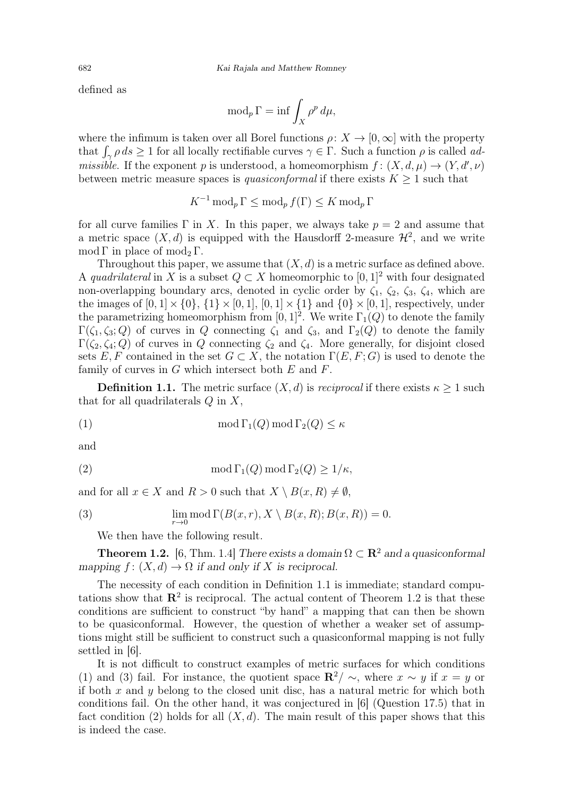defined as

$$
\operatorname{mod}_p \Gamma = \inf \int_X \rho^p \, d\mu,
$$

where the infimum is taken over all Borel functions  $\rho: X \to [0, \infty]$  with the property that  $\int_{\gamma} \rho ds \ge 1$  for all locally rectifiable curves  $\gamma \in \Gamma$ . Such a function  $\rho$  is called ad*missible.* If the exponent p is understood, a homeomorphism  $f : (X, d, \mu) \to (Y, d', \nu)$ between metric measure spaces is *quasiconformal* if there exists  $K \geq 1$  such that

 $K^{-1} \operatorname{mod}_p \Gamma \leq \operatorname{mod}_p f(\Gamma) \leq K \operatorname{mod}_p \Gamma$ 

for all curve families  $\Gamma$  in X. In this paper, we always take  $p = 2$  and assume that a metric space  $(X, d)$  is equipped with the Hausdorff 2-measure  $\mathcal{H}^2$ , and we write mod Γ in place of mod<sub>2</sub> Γ.

Throughout this paper, we assume that  $(X, d)$  is a metric surface as defined above. A quadrilateral in X is a subset  $Q \subset X$  homeomorphic to  $[0, 1]^2$  with four designated non-overlapping boundary arcs, denoted in cyclic order by  $\zeta_1$ ,  $\zeta_2$ ,  $\zeta_3$ ,  $\zeta_4$ , which are the images of  $[0,1] \times \{0\}$ ,  $\{1\} \times [0,1]$ ,  $[0,1] \times \{1\}$  and  $\{0\} \times [0,1]$ , respectively, under the parametrizing homeomorphism from  $[0,1]^2$ . We write  $\Gamma_1(Q)$  to denote the family  $\Gamma(\zeta_1, \zeta_3; Q)$  of curves in Q connecting  $\zeta_1$  and  $\zeta_3$ , and  $\Gamma_2(Q)$  to denote the family  $\Gamma(\zeta_2, \zeta_4; Q)$  of curves in Q connecting  $\zeta_2$  and  $\zeta_4$ . More generally, for disjoint closed sets E, F contained in the set  $G \subset X$ , the notation  $\Gamma(E, F; G)$  is used to denote the family of curves in  $G$  which intersect both  $E$  and  $F$ .

**Definition 1.1.** The metric surface  $(X, d)$  is *reciprocal* if there exists  $\kappa \geq 1$  such that for all quadrilaterals  $Q$  in  $X$ ,

(1) 
$$
\mod \Gamma_1(Q) \mod \Gamma_2(Q) \leq \kappa
$$

and

(2) 
$$
\operatorname{mod} \Gamma_1(Q) \operatorname{mod} \Gamma_2(Q) \ge 1/\kappa,
$$

and for all  $x \in X$  and  $R > 0$  such that  $X \setminus B(x, R) \neq \emptyset$ ,

(3) 
$$
\lim_{r \to 0} \text{mod }\Gamma(B(x,r), X \setminus B(x,R); B(x,R)) = 0.
$$

We then have the following result.

**Theorem 1.2.** [6, Thm. 1.4] There exists a domain  $\Omega \subset \mathbb{R}^2$  and a quasiconformal mapping  $f: (X, d) \to \Omega$  if and only if X is reciprocal.

The necessity of each condition in Definition 1.1 is immediate; standard computations show that  $\mathbb{R}^2$  is reciprocal. The actual content of Theorem 1.2 is that these conditions are sufficient to construct "by hand" a mapping that can then be shown to be quasiconformal. However, the question of whether a weaker set of assumptions might still be sufficient to construct such a quasiconformal mapping is not fully settled in [6].

It is not difficult to construct examples of metric surfaces for which conditions (1) and (3) fail. For instance, the quotient space  $\mathbb{R}^2/\sim$ , where  $x \sim y$  if  $x = y$  or if both  $x$  and  $y$  belong to the closed unit disc, has a natural metric for which both conditions fail. On the other hand, it was conjectured in [6] (Question 17.5) that in fact condition (2) holds for all  $(X, d)$ . The main result of this paper shows that this is indeed the case.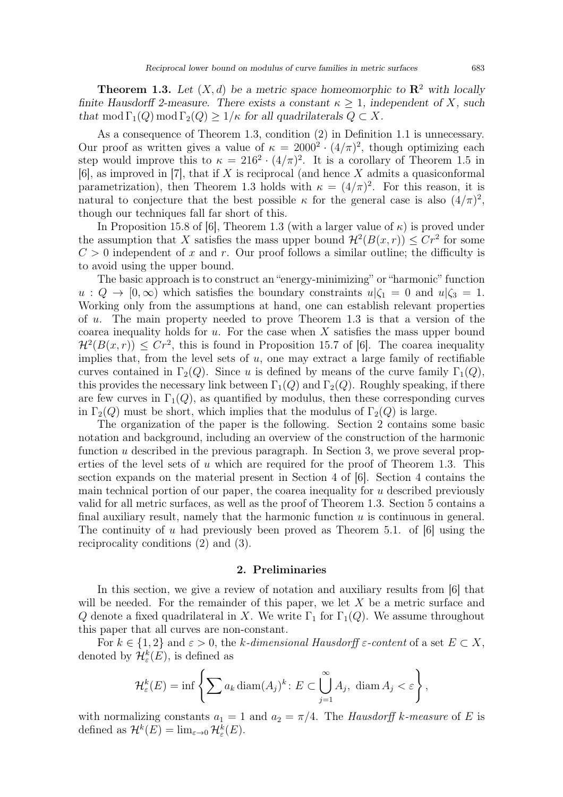**Theorem 1.3.** Let  $(X, d)$  be a metric space homeomorphic to  $\mathbb{R}^2$  with locally finite Hausdorff 2-measure. There exists a constant  $\kappa \geq 1$ , independent of X, such that mod  $\Gamma_1(Q)$  mod  $\Gamma_2(Q) \geq 1/\kappa$  for all quadrilaterals  $Q \subset X$ .

As a consequence of Theorem 1.3, condition (2) in Definition 1.1 is unnecessary. Our proof as written gives a value of  $\kappa = 2000^2 \cdot (4/\pi)^2$ , though optimizing each step would improve this to  $\kappa = 216^2 \cdot (4/\pi)^2$ . It is a corollary of Theorem 1.5 in  $[6]$ , as improved in [7], that if X is reciprocal (and hence X admits a quasiconformal parametrization), then Theorem 1.3 holds with  $\kappa = (4/\pi)^2$ . For this reason, it is natural to conjecture that the best possible  $\kappa$  for the general case is also  $(4/\pi)^2$ , though our techniques fall far short of this.

In Proposition 15.8 of [6], Theorem 1.3 (with a larger value of  $\kappa$ ) is proved under the assumption that X satisfies the mass upper bound  $\mathcal{H}^2(B(x,r)) \leq Cr^2$  for some  $C > 0$  independent of x and r. Our proof follows a similar outline; the difficulty is to avoid using the upper bound.

The basic approach is to construct an "energy-minimizing" or "harmonic" function  $u: Q \to [0, \infty)$  which satisfies the boundary constraints  $u|\zeta_1 = 0$  and  $u|\zeta_3 = 1$ . Working only from the assumptions at hand, one can establish relevant properties of u. The main property needed to prove Theorem 1.3 is that a version of the coarea inequality holds for  $u$ . For the case when  $X$  satisfies the mass upper bound  $\mathcal{H}^2(B(x,r)) \leq Cr^2$ , this is found in Proposition 15.7 of [6]. The coarea inequality implies that, from the level sets of  $u$ , one may extract a large family of rectifiable curves contained in  $\Gamma_2(Q)$ . Since u is defined by means of the curve family  $\Gamma_1(Q)$ , this provides the necessary link between  $\Gamma_1(Q)$  and  $\Gamma_2(Q)$ . Roughly speaking, if there are few curves in  $\Gamma_1(Q)$ , as quantified by modulus, then these corresponding curves in  $\Gamma_2(Q)$  must be short, which implies that the modulus of  $\Gamma_2(Q)$  is large.

The organization of the paper is the following. Section 2 contains some basic notation and background, including an overview of the construction of the harmonic function u described in the previous paragraph. In Section 3, we prove several properties of the level sets of  $u$  which are required for the proof of Theorem 1.3. This section expands on the material present in Section 4 of [6]. Section 4 contains the main technical portion of our paper, the coarea inequality for  $u$  described previously valid for all metric surfaces, as well as the proof of Theorem 1.3. Section 5 contains a final auxiliary result, namely that the harmonic function  $u$  is continuous in general. The continuity of u had previously been proved as Theorem 5.1. of [6] using the reciprocality conditions (2) and (3).

#### 2. Preliminaries

In this section, we give a review of notation and auxiliary results from [6] that will be needed. For the remainder of this paper, we let  $X$  be a metric surface and Q denote a fixed quadrilateral in X. We write  $\Gamma_1$  for  $\Gamma_1(Q)$ . We assume throughout this paper that all curves are non-constant.

For  $k \in \{1,2\}$  and  $\varepsilon > 0$ , the k-dimensional Hausdorff  $\varepsilon$ -content of a set  $E \subset X$ , denoted by  $\mathcal{H}_{\varepsilon}^{k}(E)$ , is defined as

$$
\mathcal{H}_{\varepsilon}^{k}(E) = \inf \left\{ \sum a_{k} \operatorname{diam}(A_{j})^{k} : E \subset \bigcup_{j=1}^{\infty} A_{j}, \, \operatorname{diam} A_{j} < \varepsilon \right\},\,
$$

with normalizing constants  $a_1 = 1$  and  $a_2 = \pi/4$ . The Hausdorff k-measure of E is defined as  $\mathcal{H}^k(E) = \lim_{\varepsilon \to 0} \mathcal{H}^k_{\varepsilon}(E)$ .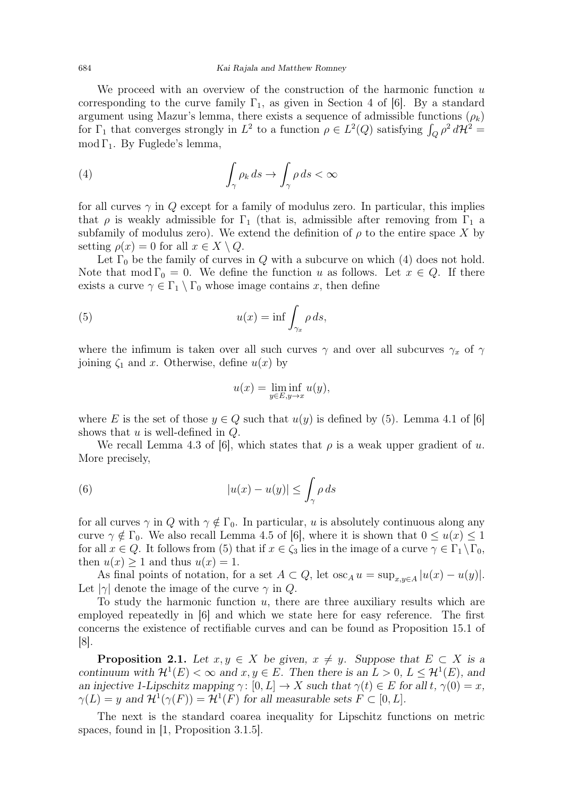#### 684 Kai Rajala and Matthew Romney

We proceed with an overview of the construction of the harmonic function  $u$ corresponding to the curve family  $\Gamma_1$ , as given in Section 4 of [6]. By a standard argument using Mazur's lemma, there exists a sequence of admissible functions  $(\rho_k)$ for  $\Gamma_1$  that converges strongly in  $L^2$  to a function  $\rho \in L^2(Q)$  satisfying  $\int_Q \rho^2 d\mathcal{H}^2 =$ mod  $\Gamma_1$ . By Fuglede's lemma,

(4) 
$$
\int_{\gamma} \rho_k ds \to \int_{\gamma} \rho ds < \infty
$$

for all curves  $\gamma$  in Q except for a family of modulus zero. In particular, this implies that  $\rho$  is weakly admissible for  $\Gamma_1$  (that is, admissible after removing from  $\Gamma_1$  a subfamily of modulus zero). We extend the definition of  $\rho$  to the entire space X by setting  $\rho(x) = 0$  for all  $x \in X \setminus Q$ .

Let  $\Gamma_0$  be the family of curves in Q with a subcurve on which (4) does not hold. Note that mod  $\Gamma_0 = 0$ . We define the function u as follows. Let  $x \in Q$ . If there exists a curve  $\gamma \in \Gamma_1 \setminus \Gamma_0$  whose image contains x, then define

(5) 
$$
u(x) = \inf \int_{\gamma_x} \rho \, ds,
$$

where the infimum is taken over all such curves  $\gamma$  and over all subcurves  $\gamma_x$  of  $\gamma$ joining  $\zeta_1$  and x. Otherwise, define  $u(x)$  by

$$
u(x) = \liminf_{y \in E, y \to x} u(y),
$$

where E is the set of those  $y \in Q$  such that  $u(y)$  is defined by (5). Lemma 4.1 of [6] shows that  $u$  is well-defined in  $Q$ .

We recall Lemma 4.3 of [6], which states that  $\rho$  is a weak upper gradient of u. More precisely,

(6) 
$$
|u(x) - u(y)| \leq \int_{\gamma} \rho \, ds
$$

for all curves  $\gamma$  in Q with  $\gamma \notin \Gamma_0$ . In particular, u is absolutely continuous along any curve  $\gamma \notin \Gamma_0$ . We also recall Lemma 4.5 of [6], where it is shown that  $0 \le u(x) \le 1$ for all  $x \in Q$ . It follows from (5) that if  $x \in \zeta_3$  lies in the image of a curve  $\gamma \in \Gamma_1 \backslash \Gamma_0$ , then  $u(x) \geq 1$  and thus  $u(x) = 1$ .

As final points of notation, for a set  $A \subset Q$ , let  $\operatorname{osc}_A u = \sup_{x,y \in A} |u(x) - u(y)|$ . Let  $|\gamma|$  denote the image of the curve  $\gamma$  in Q.

To study the harmonic function  $u$ , there are three auxiliary results which are employed repeatedly in [6] and which we state here for easy reference. The first concerns the existence of rectifiable curves and can be found as Proposition 15.1 of [8].

**Proposition 2.1.** Let  $x, y \in X$  be given,  $x \neq y$ . Suppose that  $E \subset X$  is a continuum with  $\mathcal{H}^1(E) < \infty$  and  $x, y \in E$ . Then there is an  $L > 0$ ,  $L \leq \mathcal{H}^1(E)$ , and an injective 1-Lipschitz mapping  $\gamma: [0, L] \to X$  such that  $\gamma(t) \in E$  for all t,  $\gamma(0) = x$ ,  $\gamma(L) = y$  and  $\mathcal{H}^1(\gamma(F)) = \mathcal{H}^1(F)$  for all measurable sets  $F \subset [0, L]$ .

The next is the standard coarea inequality for Lipschitz functions on metric spaces, found in [1, Proposition 3.1.5].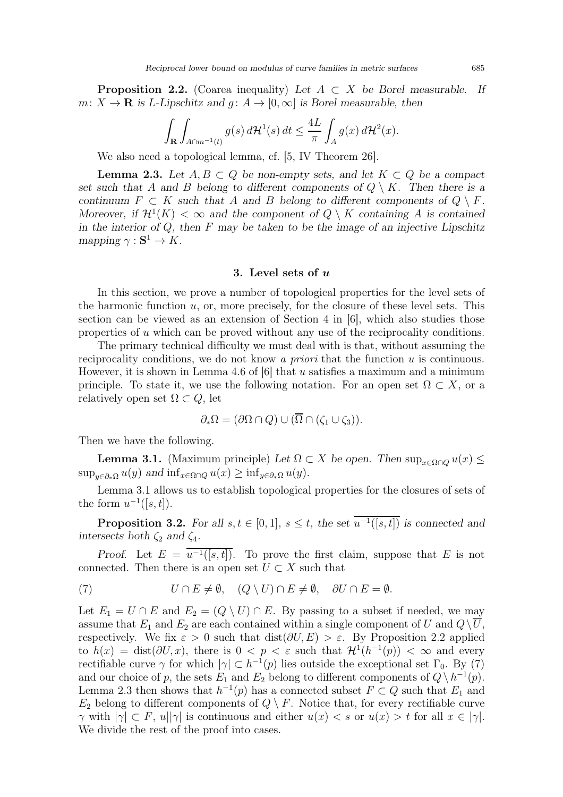**Proposition 2.2.** (Coarea inequality) Let  $A \subset X$  be Borel measurable. If  $m: X \to \mathbf{R}$  is L-Lipschitz and  $q: A \to [0, \infty]$  is Borel measurable, then

$$
\int_{\mathbf{R}} \int_{A \cap m^{-1}(t)} g(s) d\mathcal{H}^1(s) dt \le \frac{4L}{\pi} \int_A g(x) d\mathcal{H}^2(x).
$$

We also need a topological lemma, cf. [5, IV Theorem 26].

**Lemma 2.3.** Let  $A, B \subset Q$  be non-empty sets, and let  $K \subset Q$  be a compact set such that A and B belong to different components of  $Q \setminus K$ . Then there is a continuum  $F \subset K$  such that A and B belong to different components of  $Q \setminus F$ . Moreover, if  $\mathcal{H}^1(K) < \infty$  and the component of  $Q \setminus K$  containing A is contained in the interior of  $Q$ , then  $F$  may be taken to be the image of an injective Lipschitz mapping  $\gamma : \mathbf{S}^1 \to K$ .

#### 3. Level sets of u

In this section, we prove a number of topological properties for the level sets of the harmonic function  $u$ , or, more precisely, for the closure of these level sets. This section can be viewed as an extension of Section 4 in [6], which also studies those properties of u which can be proved without any use of the reciprocality conditions.

The primary technical difficulty we must deal with is that, without assuming the reciprocality conditions, we do not know a *priori* that the function  $u$  is continuous. However, it is shown in Lemma 4.6 of  $[6]$  that u satisfies a maximum and a minimum principle. To state it, we use the following notation. For an open set  $\Omega \subset X$ , or a relatively open set  $\Omega \subset Q$ , let

$$
\partial_*\Omega = (\partial \Omega \cap Q) \cup (\overline{\Omega} \cap (\zeta_1 \cup \zeta_3)).
$$

Then we have the following.

**Lemma 3.1.** (Maximum principle) Let  $\Omega \subset X$  be open. Then  $\sup_{x \in \Omega \cap Q} u(x) \leq$  $\sup_{y \in \partial_{\ast} \Omega} u(y)$  and  $\inf_{x \in \Omega \cap Q} u(x) \geq \inf_{y \in \partial_{\ast} \Omega} u(y)$ .

Lemma 3.1 allows us to establish topological properties for the closures of sets of the form  $u^{-1}([s,t])$ .

**Proposition 3.2.** For all  $s, t \in [0, 1], s \leq t$ , the set  $u^{-1}([s, t])$  is connected and intersects both  $\zeta_2$  and  $\zeta_4$ .

Proof. Let  $E = u^{-1}([s,t])$ . To prove the first claim, suppose that E is not connected. Then there is an open set  $U \subset X$  such that

(7) 
$$
U \cap E \neq \emptyset, \quad (Q \setminus U) \cap E \neq \emptyset, \quad \partial U \cap E = \emptyset.
$$

Let  $E_1 = U \cap E$  and  $E_2 = (Q \setminus U) \cap E$ . By passing to a subset if needed, we may assume that  $E_1$  and  $E_2$  are each contained within a single component of U and  $Q\setminus\overline{U}$ , respectively. We fix  $\varepsilon > 0$  such that  $dist(\partial U, E) > \varepsilon$ . By Proposition 2.2 applied to  $h(x) = \text{dist}(\partial U, x)$ , there is  $0 < p < \varepsilon$  such that  $\mathcal{H}^1(h^{-1}(p)) < \infty$  and every rectifiable curve  $\gamma$  for which  $|\gamma| \subset h^{-1}(p)$  lies outside the exceptional set  $\Gamma_0$ . By (7) and our choice of p, the sets  $E_1$  and  $E_2$  belong to different components of  $Q \setminus h^{-1}(p)$ . Lemma 2.3 then shows that  $h^{-1}(p)$  has a connected subset  $F \subset Q$  such that  $E_1$  and  $E_2$  belong to different components of  $Q \setminus F$ . Notice that, for every rectifiable curve  $\gamma$  with  $|\gamma| \subset F$ ,  $u||\gamma|$  is continuous and either  $u(x) < s$  or  $u(x) > t$  for all  $x \in |\gamma|$ . We divide the rest of the proof into cases.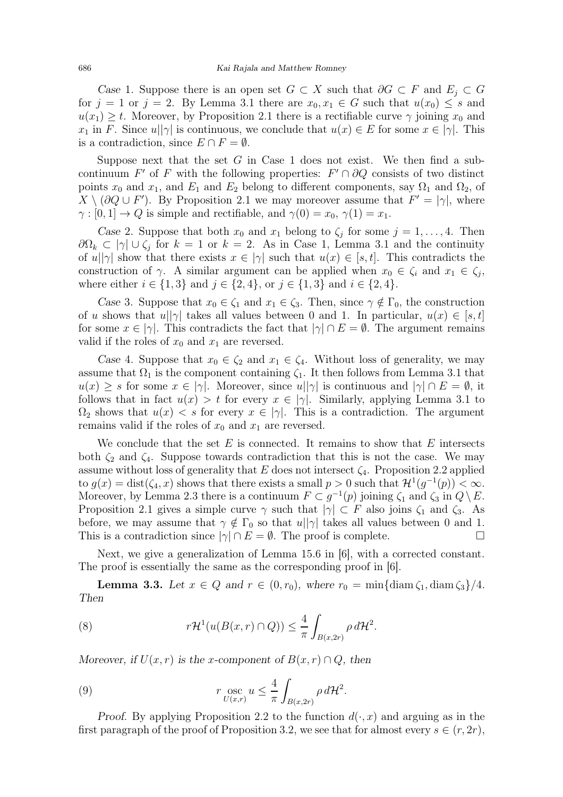Case 1. Suppose there is an open set  $G \subset X$  such that  $\partial G \subset F$  and  $E_i \subset G$ for  $j = 1$  or  $j = 2$ . By Lemma 3.1 there are  $x_0, x_1 \in G$  such that  $u(x_0) \leq s$  and  $u(x_1) \geq t$ . Moreover, by Proposition 2.1 there is a rectifiable curve  $\gamma$  joining  $x_0$  and  $x_1$  in F. Since  $u||\gamma|$  is continuous, we conclude that  $u(x) \in E$  for some  $x \in |\gamma|$ . This is a contradiction, since  $E \cap F = \emptyset$ .

Suppose next that the set  $G$  in Case 1 does not exist. We then find a subcontinuum F' of F with the following properties:  $F' \cap \partial Q$  consists of two distinct points  $x_0$  and  $x_1$ , and  $E_1$  and  $E_2$  belong to different components, say  $\Omega_1$  and  $\Omega_2$ , of  $X \setminus (\partial Q \cup F')$ . By Proposition 2.1 we may moreover assume that  $F' = |\gamma|$ , where  $\gamma : [0, 1] \to Q$  is simple and rectifiable, and  $\gamma(0) = x_0, \gamma(1) = x_1$ .

Case 2. Suppose that both  $x_0$  and  $x_1$  belong to  $\zeta_j$  for some  $j = 1, \ldots, 4$ . Then  $\partial\Omega_k \subset |\gamma| \cup \zeta_j$  for  $k=1$  or  $k=2$ . As in Case 1, Lemma 3.1 and the continuity of  $u||\gamma|$  show that there exists  $x \in |\gamma|$  such that  $u(x) \in [s, t]$ . This contradicts the construction of  $\gamma$ . A similar argument can be applied when  $x_0 \in \zeta_i$  and  $x_1 \in \zeta_j$ , where either  $i \in \{1,3\}$  and  $j \in \{2,4\}$ , or  $j \in \{1,3\}$  and  $i \in \{2,4\}$ .

Case 3. Suppose that  $x_0 \in \zeta_1$  and  $x_1 \in \zeta_3$ . Then, since  $\gamma \notin \Gamma_0$ , the construction of u shows that  $u||\gamma|$  takes all values between 0 and 1. In particular,  $u(x) \in [s, t]$ for some  $x \in |\gamma|$ . This contradicts the fact that  $|\gamma| \cap E = \emptyset$ . The argument remains valid if the roles of  $x_0$  and  $x_1$  are reversed.

Case 4. Suppose that  $x_0 \in \zeta_2$  and  $x_1 \in \zeta_4$ . Without loss of generality, we may assume that  $\Omega_1$  is the component containing  $\zeta_1$ . It then follows from Lemma 3.1 that  $u(x) \geq s$  for some  $x \in |\gamma|$ . Moreover, since  $u||\gamma|$  is continuous and  $|\gamma| \cap E = \emptyset$ , it follows that in fact  $u(x) > t$  for every  $x \in |\gamma|$ . Similarly, applying Lemma 3.1 to  $\Omega_2$  shows that  $u(x) < s$  for every  $x \in |\gamma|$ . This is a contradiction. The argument remains valid if the roles of  $x_0$  and  $x_1$  are reversed.

We conclude that the set  $E$  is connected. It remains to show that  $E$  intersects both  $\zeta_2$  and  $\zeta_4$ . Suppose towards contradiction that this is not the case. We may assume without loss of generality that E does not intersect  $\zeta_4$ . Proposition 2.2 applied to  $g(x) = \text{dist}(\zeta_4, x)$  shows that there exists a small  $p > 0$  such that  $\mathcal{H}^1(g^{-1}(p)) < \infty$ . Moreover, by Lemma 2.3 there is a continuum  $F \subset g^{-1}(p)$  joining  $\zeta_1$  and  $\zeta_3$  in  $Q \setminus E$ . Proposition 2.1 gives a simple curve  $\gamma$  such that  $|\gamma| \subset F$  also joins  $\zeta_1$  and  $\zeta_3$ . As before, we may assume that  $\gamma \notin \Gamma_0$  so that  $u||\gamma|$  takes all values between 0 and 1. This is a contradiction since  $|\gamma| \cap E = \emptyset$ . The proof is complete.

Next, we give a generalization of Lemma 15.6 in [6], with a corrected constant. The proof is essentially the same as the corresponding proof in [6].

**Lemma 3.3.** Let  $x \in Q$  and  $r \in (0, r_0)$ , where  $r_0 = \min{\{\text{diam }\zeta_1, \text{diam }\zeta_3\}}/4$ . Then

(8) 
$$
r\mathcal{H}^1(u(B(x,r)\cap Q))\leq \frac{4}{\pi}\int_{B(x,2r)}\rho\,d\mathcal{H}^2.
$$

Moreover, if  $U(x, r)$  is the x-component of  $B(x, r) \cap Q$ , then

(9) 
$$
r \underset{U(x,r)}{\mathrm{osc}} u \leq \frac{4}{\pi} \int_{B(x,2r)} \rho \, d\mathcal{H}^2.
$$

Proof. By applying Proposition 2.2 to the function  $d(\cdot, x)$  and arguing as in the first paragraph of the proof of Proposition 3.2, we see that for almost every  $s \in (r, 2r)$ ,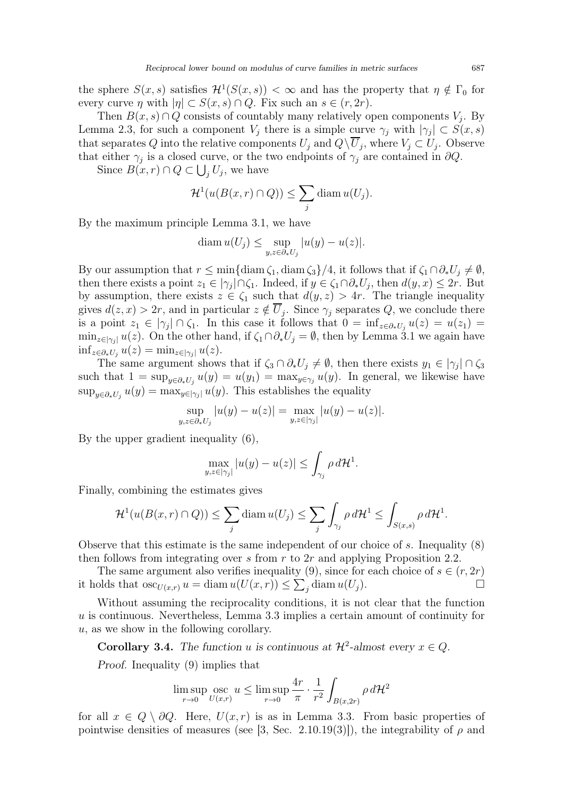the sphere  $S(x, s)$  satisfies  $\mathcal{H}^1(S(x, s)) < \infty$  and has the property that  $\eta \notin \Gamma_0$  for every curve  $\eta$  with  $|\eta| \subset S(x, s) \cap Q$ . Fix such an  $s \in (r, 2r)$ .

Then  $B(x, s) \cap Q$  consists of countably many relatively open components  $V_j$ . By Lemma 2.3, for such a component  $V_j$  there is a simple curve  $\gamma_j$  with  $|\gamma_j| \subset S(x,s)$ that separates Q into the relative components  $U_j$  and  $Q \setminus U_j$ , where  $V_j \subset U_j$ . Observe that either  $\gamma_j$  is a closed curve, or the two endpoints of  $\gamma_j$  are contained in  $\partial Q$ .

Since  $B(x,r) \cap Q \subset \bigcup_j U_j$ , we have

$$
\mathcal{H}^1(u(B(x,r)\cap Q)) \le \sum_j \text{diam } u(U_j).
$$

By the maximum principle Lemma 3.1, we have

$$
\operatorname{diam} u(U_j) \le \sup_{y,z \in \partial_* U_j} |u(y) - u(z)|.
$$

By our assumption that  $r \leq \min\{\text{diam }\zeta_1,\text{diam }\zeta_3\}/4$ , it follows that if  $\zeta_1 \cap \partial_* U_j \neq \emptyset$ , then there exists a point  $z_1 \in |\gamma_j| \cap \zeta_1$ . Indeed, if  $y \in \zeta_1 \cap \partial_* U_j$ , then  $d(y, x) \leq 2r$ . But by assumption, there exists  $z \in \zeta_1$  such that  $d(y, z) > 4r$ . The triangle inequality gives  $d(z, x) > 2r$ , and in particular  $z \notin U_j$ . Since  $\gamma_j$  separates Q, we conclude there is a point  $z_1 \in |\gamma_j| \cap \zeta_1$ . In this case it follows that  $0 = \inf_{z \in \partial_* U_j} u(z) = u(z_1) =$  $\min_{z \in |\gamma_j|} u(z)$ . On the other hand, if  $\zeta_1 \cap \partial_* U_j = \emptyset$ , then by Lemma 3.1 we again have  $\inf_{z \in \partial_* U_j} u(z) = \min_{z \in |\gamma_j|} u(z).$ 

The same argument shows that if  $\zeta_3 \cap \partial_* U_j \neq \emptyset$ , then there exists  $y_1 \in |\gamma_j| \cap \zeta_3$ such that  $1 = \sup_{y \in \partial_* U_j} u(y) = u(y_1) = \max_{y \in \gamma_j} u(y)$ . In general, we likewise have  $\sup_{y \in \partial_* U_j} u(y) = \max_{y \in |\gamma_j|} u(y)$ . This establishes the equality

$$
\sup_{y,z \in \partial_* U_j} |u(y) - u(z)| = \max_{y,z \in |\gamma_j|} |u(y) - u(z)|.
$$

By the upper gradient inequality (6),

$$
\max_{y,z\in|\gamma_j|}|u(y)-u(z)|\leq \int_{\gamma_j}\rho\,d\mathcal{H}^1.
$$

Finally, combining the estimates gives

$$
\mathcal{H}^1(u(B(x,r)\cap Q)) \le \sum_j \text{diam } u(U_j) \le \sum_j \int_{\gamma_j} \rho \, d\mathcal{H}^1 \le \int_{S(x,s)} \rho \, d\mathcal{H}^1.
$$

Observe that this estimate is the same independent of our choice of s. Inequality (8) then follows from integrating over s from r to  $2r$  and applying Proposition 2.2.

The same argument also verifies inequality (9), since for each choice of  $s \in (r, 2r)$ it holds that  $\operatorname{osc}_{U(x,r)} u = \operatorname{diam} u(U(x,r)) \leq \sum_j \operatorname{diam} u(U_j).$ 

Without assuming the reciprocality conditions, it is not clear that the function u is continuous. Nevertheless, Lemma 3.3 implies a certain amount of continuity for u, as we show in the following corollary.

**Corollary 3.4.** The function u is continuous at  $\mathcal{H}^2$ -almost every  $x \in Q$ .

Proof. Inequality (9) implies that

$$
\limsup_{r \to 0} \operatorname*{osc}_{U(x,r)} u \le \limsup_{r \to 0} \frac{4r}{\pi} \cdot \frac{1}{r^2} \int_{B(x,2r)} \rho \, d\mathcal{H}^2
$$

for all  $x \in Q \setminus \partial Q$ . Here,  $U(x, r)$  is as in Lemma 3.3. From basic properties of pointwise densities of measures (see [3, Sec. 2.10.19(3)]), the integrability of  $\rho$  and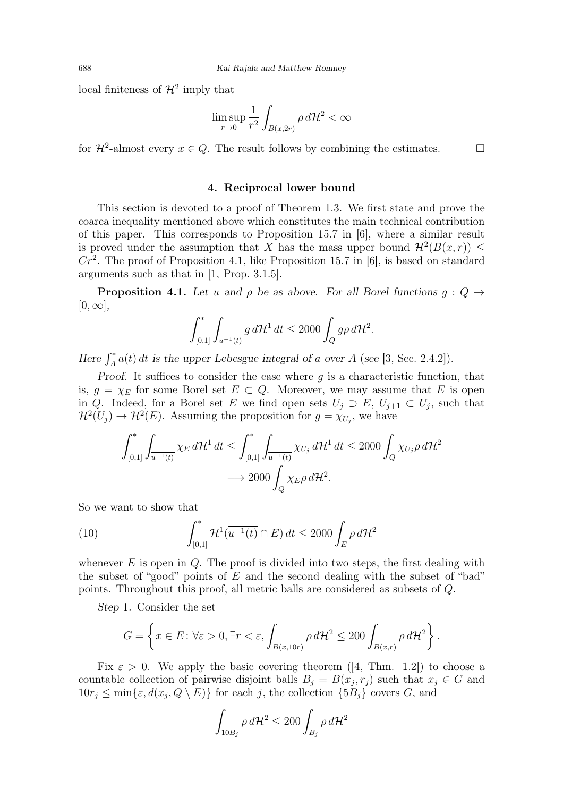local finiteness of  $\mathcal{H}^2$  imply that

$$
\limsup_{r \to 0} \frac{1}{r^2} \int_{B(x, 2r)} \rho \, d\mathcal{H}^2 < \infty
$$

for  $\mathcal{H}^2$ -almost every  $x \in Q$ . The result follows by combining the estimates.

#### 4. Reciprocal lower bound

This section is devoted to a proof of Theorem 1.3. We first state and prove the coarea inequality mentioned above which constitutes the main technical contribution of this paper. This corresponds to Proposition 15.7 in [6], where a similar result is proved under the assumption that X has the mass upper bound  $\mathcal{H}^2(B(x,r)) \leq$  $Cr<sup>2</sup>$ . The proof of Proposition 4.1, like Proposition 15.7 in [6], is based on standard arguments such as that in [1, Prop. 3.1.5].

**Proposition 4.1.** Let u and  $\rho$  be as above. For all Borel functions  $q: Q \rightarrow$  $[0, \infty],$ 

$$
\int_{[0,1]}^* \int_{\overline{u^{-1}(t)}} g \, d\mathcal{H}^1 \, dt \le 2000 \int_Q g \rho \, d\mathcal{H}^2.
$$

Here  $\int_A^* a(t) dt$  is the upper Lebesgue integral of a over A (see [3, Sec. 2.4.2]).

Proof. It suffices to consider the case where  $g$  is a characteristic function, that is,  $g = \chi_E$  for some Borel set  $E \subset Q$ . Moreover, we may assume that E is open in Q. Indeed, for a Borel set E we find open sets  $U_j \supset E$ ,  $U_{j+1} \subset U_j$ , such that  $\mathcal{H}^2(U_j) \to \mathcal{H}^2(E)$ . Assuming the proposition for  $g = \chi_{U_j}$ , we have

$$
\int_{[0,1]}^* \int_{\overline{u^{-1}(t)}} \chi_E \, d\mathcal{H}^1 \, dt \le \int_{[0,1]}^* \int_{\overline{u^{-1}(t)}} \chi_{U_j} \, d\mathcal{H}^1 \, dt \le 2000 \int_Q \chi_{U_j} \rho \, d\mathcal{H}^2
$$

$$
\longrightarrow 2000 \int_Q \chi_E \rho \, d\mathcal{H}^2.
$$

So we want to show that

(10) 
$$
\int_{[0,1]}^{*} H^1(\overline{u^{-1}(t)} \cap E) dt \le 2000 \int_{E} \rho d\mathcal{H}^2
$$

whenever  $E$  is open in  $Q$ . The proof is divided into two steps, the first dealing with the subset of "good" points of  $E$  and the second dealing with the subset of "bad" points. Throughout this proof, all metric balls are considered as subsets of Q.

Step 1. Consider the set

$$
G = \left\{ x \in E : \forall \varepsilon > 0, \exists r < \varepsilon, \int_{B(x,10r)} \rho \, d\mathcal{H}^2 \le 200 \int_{B(x,r)} \rho \, d\mathcal{H}^2 \right\}.
$$

Fix  $\varepsilon > 0$ . We apply the basic covering theorem ([4, Thm. 1.2]) to choose a countable collection of pairwise disjoint balls  $B_j = B(x_j, r_j)$  such that  $x_j \in G$  and  $10r_j \leq \min\{\varepsilon, d(x_j, Q \setminus E)\}\$ for each j, the collection  $\{5B_j\}$  covers G, and

$$
\int_{10B_j} \rho \, d\mathcal{H}^2 \le 200 \int_{B_j} \rho \, d\mathcal{H}^2
$$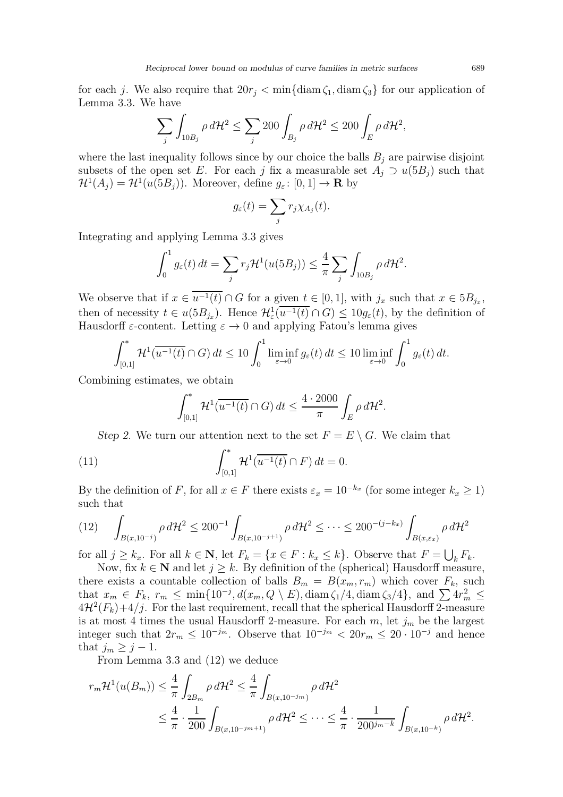for each j. We also require that  $20r_j < \min{\{\operatorname{diam}\zeta_1, \operatorname{diam}\zeta_3\}}$  for our application of Lemma 3.3. We have

$$
\sum_{j} \int_{10B_j} \rho \, d\mathcal{H}^2 \le \sum_{j} 200 \int_{B_j} \rho \, d\mathcal{H}^2 \le 200 \int_{E} \rho \, d\mathcal{H}^2,
$$

where the last inequality follows since by our choice the balls  $B_j$  are pairwise disjoint subsets of the open set E. For each j fix a measurable set  $A_i \supset u(5B_i)$  such that  $\mathcal{H}^1(A_j) = \mathcal{H}^1(u(5B_j))$ . Moreover, define  $g_{\varepsilon}: [0,1] \to \mathbf{R}$  by

$$
g_{\varepsilon}(t) = \sum_j r_j \chi_{A_j}(t).
$$

Integrating and applying Lemma 3.3 gives

$$
\int_0^1 g_{\varepsilon}(t) dt = \sum_j r_j \mathcal{H}^1(u(5B_j)) \leq \frac{4}{\pi} \sum_j \int_{10B_j} \rho d\mathcal{H}^2.
$$

We observe that if  $x \in u^{-1}(t) \cap G$  for a given  $t \in [0,1]$ , with  $j_x$  such that  $x \in 5B_{j_x}$ , then of necessity  $t \in u(5B_{j_x})$ . Hence  $\mathcal{H}^1_{\varepsilon}(u^{-1}(t) \cap G) \leq 10g_{\varepsilon}(t)$ , by the definition of Hausdorff  $\varepsilon$ -content. Letting  $\varepsilon \to 0$  and applying Fatou's lemma gives

$$
\int_{[0,1]}^* \mathcal{H}^1(\overline{u^{-1}(t)} \cap G) dt \le 10 \int_0^1 \liminf_{\varepsilon \to 0} g_{\varepsilon}(t) dt \le 10 \liminf_{\varepsilon \to 0} \int_0^1 g_{\varepsilon}(t) dt.
$$

Combining estimates, we obtain

$$
\int_{[0,1]}^* \mathcal{H}^1(\overline{u^{-1}(t)} \cap G) dt \le \frac{4 \cdot 2000}{\pi} \int_E \rho d\mathcal{H}^2.
$$

Step 2. We turn our attention next to the set  $F = E \setminus G$ . We claim that

(11) 
$$
\int_{[0,1]}^{*} \mathcal{H}^1(\overline{u^{-1}(t)} \cap F) dt = 0.
$$

By the definition of F, for all  $x \in F$  there exists  $\varepsilon_x = 10^{-k_x}$  (for some integer  $k_x \ge 1$ ) such that

$$
(12) \quad \int_{B(x,10^{-j})} \rho \, d\mathcal{H}^2 \le 200^{-1} \int_{B(x,10^{-j+1})} \rho \, d\mathcal{H}^2 \le \cdots \le 200^{-(j-k_x)} \int_{B(x,\varepsilon_x)} \rho \, d\mathcal{H}^2
$$

for all  $j \geq k_x$ . For all  $k \in \mathbb{N}$ , let  $F_k = \{x \in F : k_x \leq k\}$ . Observe that  $F = \bigcup_k F_k$ .

Now, fix  $k \in \mathbb{N}$  and let  $j \geq k$ . By definition of the (spherical) Hausdorff measure, there exists a countable collection of balls  $B_m = B(x_m, r_m)$  which cover  $F_k$ , such that  $x_m \in F_k$ ,  $r_m \leq \min\{10^{-j}, d(x_m, Q \setminus E), \text{diam }\zeta_1/4, \text{diam }\zeta_3/4\}$ , and  $\sum 4r_m^2 \leq$  $4\mathcal{H}^2(F_k)+4/j$ . For the last requirement, recall that the spherical Hausdorff 2-measure is at most 4 times the usual Hausdorff 2-measure. For each  $m$ , let  $j_m$  be the largest integer such that  $2r_m \leq 10^{-j_m}$ . Observe that  $10^{-j_m} < 20r_m \leq 20 \cdot 10^{-j}$  and hence that  $j_m \geq j-1$ .

From Lemma 3.3 and (12) we deduce

$$
r_m \mathcal{H}^1(u(B_m)) \leq \frac{4}{\pi} \int_{2B_m} \rho \, d\mathcal{H}^2 \leq \frac{4}{\pi} \int_{B(x, 10^{-j_m})} \rho \, d\mathcal{H}^2
$$
  

$$
\leq \frac{4}{\pi} \cdot \frac{1}{200} \int_{B(x, 10^{-j_m+1})} \rho \, d\mathcal{H}^2 \leq \dots \leq \frac{4}{\pi} \cdot \frac{1}{200^{j_m-k}} \int_{B(x, 10^{-k})} \rho \, d\mathcal{H}^2.
$$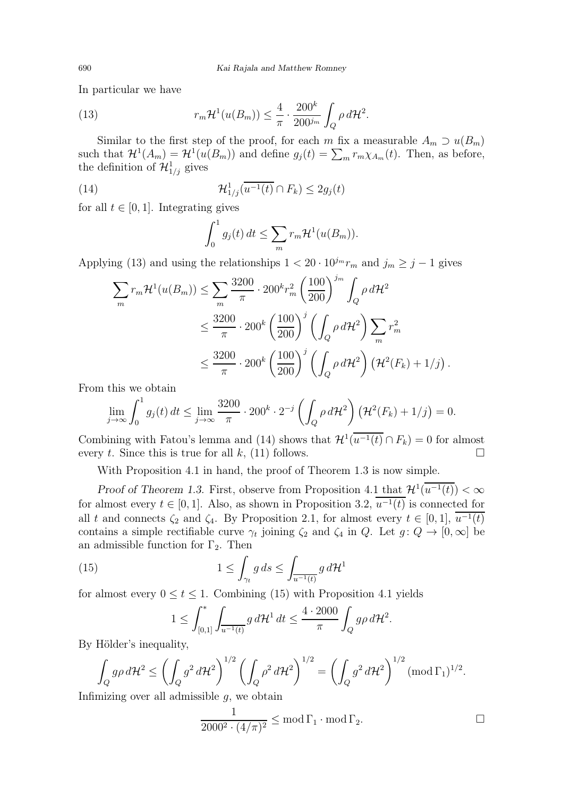In particular we have

(13) 
$$
r_m \mathcal{H}^1(u(B_m)) \leq \frac{4}{\pi} \cdot \frac{200^k}{200^{j_m}} \int_Q \rho \, d\mathcal{H}^2.
$$

Similar to the first step of the proof, for each m fix a measurable  $A_m \supset u(B_m)$ such that  $\mathcal{H}^1(A_m) = \mathcal{H}^1(u(B_m))$  and define  $g_j(t) = \sum_m r_m \chi_{A_m}(t)$ . Then, as before, the definition of  $\mathcal{H}_{1/j}^1$  gives

(14) 
$$
\mathcal{H}_{1/j}^1(\overline{u^{-1}(t)} \cap F_k) \leq 2g_j(t)
$$

for all  $t \in [0, 1]$ . Integrating gives

$$
\int_0^1 g_j(t) dt \leq \sum_m r_m \mathcal{H}^1(u(B_m)).
$$

Applying (13) and using the relationships  $1 < 20 \cdot 10^{j_m} r_m$  and  $j_m \ge j - 1$  gives

$$
\sum_{m} r_{m} \mathcal{H}^{1}(u(B_{m})) \leq \sum_{m} \frac{3200}{\pi} \cdot 200^{k} r_{m}^{2} \left(\frac{100}{200}\right)^{j_{m}} \int_{Q} \rho d\mathcal{H}^{2}
$$
  

$$
\leq \frac{3200}{\pi} \cdot 200^{k} \left(\frac{100}{200}\right)^{j} \left(\int_{Q} \rho d\mathcal{H}^{2}\right) \sum_{m} r_{m}^{2}
$$
  

$$
\leq \frac{3200}{\pi} \cdot 200^{k} \left(\frac{100}{200}\right)^{j} \left(\int_{Q} \rho d\mathcal{H}^{2}\right) \left(\mathcal{H}^{2}(F_{k}) + 1/j\right).
$$

From this we obtain

$$
\lim_{j\to\infty}\int_0^1 g_j(t)\,dt\leq \lim_{j\to\infty}\frac{3200}{\pi}\cdot 200^k\cdot 2^{-j}\left(\int_Q \rho\,d\mathcal{H}^2\right)\left(\mathcal{H}^2(F_k)+1/j\right)=0.
$$

Combining with Fatou's lemma and (14) shows that  $\mathcal{H}^1(\overline{u^{-1}(t)} \cap F_k) = 0$  for almost every t. Since this is true for all k, (11) follows.  $\square$ 

With Proposition 4.1 in hand, the proof of Theorem 1.3 is now simple.

Proof of Theorem 1.3. First, observe from Proposition 4.1 that  $\mathcal{H}^1(u^{-1}(t)) < \infty$ for almost every  $t \in [0,1]$ . Also, as shown in Proposition 3.2,  $u^{-1}(t)$  is connected for all t and connects  $\zeta_2$  and  $\zeta_4$ . By Proposition 2.1, for almost every  $t \in [0,1]$ ,  $u^{-1}(t)$ contains a simple rectifiable curve  $\gamma_t$  joining  $\zeta_2$  and  $\zeta_4$  in Q. Let  $g: Q \to [0, \infty]$  be an admissible function for  $\Gamma_2$ . Then

(15) 
$$
1 \leq \int_{\gamma_t} g ds \leq \int_{\overline{u^{-1}(t)}} g d\mathcal{H}^1
$$

for almost every  $0 \le t \le 1$ . Combining (15) with Proposition 4.1 yields

$$
1 \le \int_{[0,1]}^* \int_{\overline{u^{-1}(t)}} g \, d\mathcal{H}^1 \, dt \le \frac{4 \cdot 2000}{\pi} \int_Q g \rho \, d\mathcal{H}^2.
$$

By Hölder's inequality,

$$
\int_{Q} g \rho \, d\mathcal{H}^2 \le \left( \int_{Q} g^2 \, d\mathcal{H}^2 \right)^{1/2} \left( \int_{Q} \rho^2 \, d\mathcal{H}^2 \right)^{1/2} = \left( \int_{Q} g^2 \, d\mathcal{H}^2 \right)^{1/2} (\text{mod } \Gamma_1)^{1/2}.
$$

Infimizing over all admissible  $g$ , we obtain

$$
\frac{1}{2000^2 \cdot (4/\pi)^2} \le \text{mod } \Gamma_1 \cdot \text{mod } \Gamma_2.
$$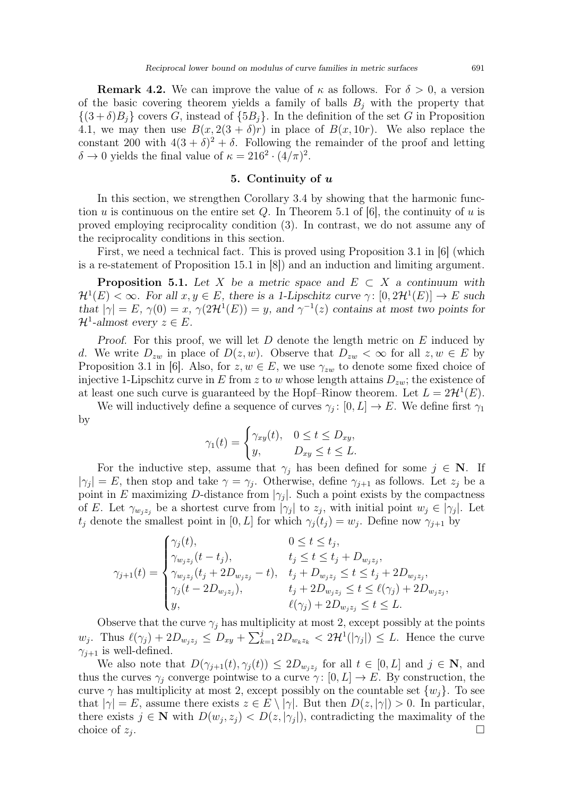**Remark 4.2.** We can improve the value of  $\kappa$  as follows. For  $\delta > 0$ , a version of the basic covering theorem yields a family of balls  $B_j$  with the property that  $\{(3+\delta)B_i\}$  covers G, instead of  $\{5B_i\}$ . In the definition of the set G in Proposition 4.1, we may then use  $B(x, 2(3 + \delta)r)$  in place of  $B(x, 10r)$ . We also replace the constant 200 with  $4(3+\delta)^2 + \delta$ . Following the remainder of the proof and letting  $\delta \to 0$  yields the final value of  $\kappa = 216^2 \cdot (4/\pi)^2$ .

### 5. Continuity of u

In this section, we strengthen Corollary 3.4 by showing that the harmonic function u is continuous on the entire set Q. In Theorem 5.1 of [6], the continuity of u is proved employing reciprocality condition (3). In contrast, we do not assume any of the reciprocality conditions in this section.

First, we need a technical fact. This is proved using Proposition 3.1 in [6] (which is a re-statement of Proposition 15.1 in [8]) and an induction and limiting argument.

**Proposition 5.1.** Let X be a metric space and  $E \subset X$  a continuum with  $\mathcal{H}^1(E) < \infty$ . For all  $x, y \in E$ , there is a 1-Lipschitz curve  $\gamma: [0, 2\mathcal{H}^1(E)] \to E$  such that  $|\gamma| = E$ ,  $\gamma(0) = x$ ,  $\gamma(2\mathcal{H}^1(E)) = y$ , and  $\gamma^{-1}(z)$  contains at most two points for  $\mathcal{H}^1$ -almost every  $z \in E$ .

Proof. For this proof, we will let  $D$  denote the length metric on  $E$  induced by d. We write  $D_{zw}$  in place of  $D(z, w)$ . Observe that  $D_{zw} < \infty$  for all  $z, w \in E$  by Proposition 3.1 in [6]. Also, for  $z, w \in E$ , we use  $\gamma_{zw}$  to denote some fixed choice of injective 1-Lipschitz curve in E from z to w whose length attains  $D_{zw}$ ; the existence of at least one such curve is guaranteed by the Hopf–Rinow theorem. Let  $L = 2\mathcal{H}^1(E)$ .

We will inductively define a sequence of curves  $\gamma_j: [0, L] \to E$ . We define first  $\gamma_1$ by

$$
\gamma_1(t) = \begin{cases} \gamma_{xy}(t), & 0 \le t \le D_{xy}, \\ y, & D_{xy} \le t \le L. \end{cases}
$$

For the inductive step, assume that  $\gamma_i$  has been defined for some  $j \in \mathbb{N}$ . If  $|\gamma_j| = E$ , then stop and take  $\gamma = \gamma_j$ . Otherwise, define  $\gamma_{j+1}$  as follows. Let  $z_j$  be a point in E maximizing D-distance from  $|\gamma_j|$ . Such a point exists by the compactness of E. Let  $\gamma_{w_j z_j}$  be a shortest curve from  $|\gamma_j|$  to  $z_j$ , with initial point  $w_j \in |\gamma_j|$ . Let  $t_j$  denote the smallest point in [0, L] for which  $\gamma_j(t_j) = w_j$ . Define now  $\gamma_{j+1}$  by

$$
\gamma_{j+1}(t) = \begin{cases}\n\gamma_j(t), & 0 \le t \le t_j, \\
\gamma_{w_j z_j}(t - t_j), & t_j \le t \le t_j + D_{w_j z_j}, \\
\gamma_{w_j z_j}(t_j + 2D_{w_j z_j} - t), & t_j + D_{w_j z_j} \le t \le t_j + 2D_{w_j z_j}, \\
\gamma_j(t - 2D_{w_j z_j}), & t_j + 2D_{w_j z_j} \le t \le \ell(\gamma_j) + 2D_{w_j z_j}, \\
y, & \ell(\gamma_j) + 2D_{w_j z_j} \le t \le L.\n\end{cases}
$$

Observe that the curve  $\gamma_j$  has multiplicity at most 2, except possibly at the points  $w_j$ . Thus  $\ell(\gamma_j) + 2D_{w_j z_j} \leq D_{xy} + \sum_{k=1}^j 2D_{w_k z_k} < 2\mathcal{H}^1(|\gamma_j|) \leq L$ . Hence the curve  $\gamma_{i+1}$  is well-defined.

We also note that  $D(\gamma_{j+1}(t), \gamma_j(t)) \leq 2D_{w_j z_j}$  for all  $t \in [0, L]$  and  $j \in \mathbb{N}$ , and thus the curves  $\gamma_i$  converge pointwise to a curve  $\gamma: [0, L] \to E$ . By construction, the curve  $\gamma$  has multiplicity at most 2, except possibly on the countable set  $\{w_i\}$ . To see that  $|\gamma| = E$ , assume there exists  $z \in E \setminus |\gamma|$ . But then  $D(z, |\gamma|) > 0$ . In particular, there exists  $j \in \mathbb{N}$  with  $D(w_j, z_j) < D(z, |\gamma_j|)$ , contradicting the maximality of the choice of  $z_i$ . .